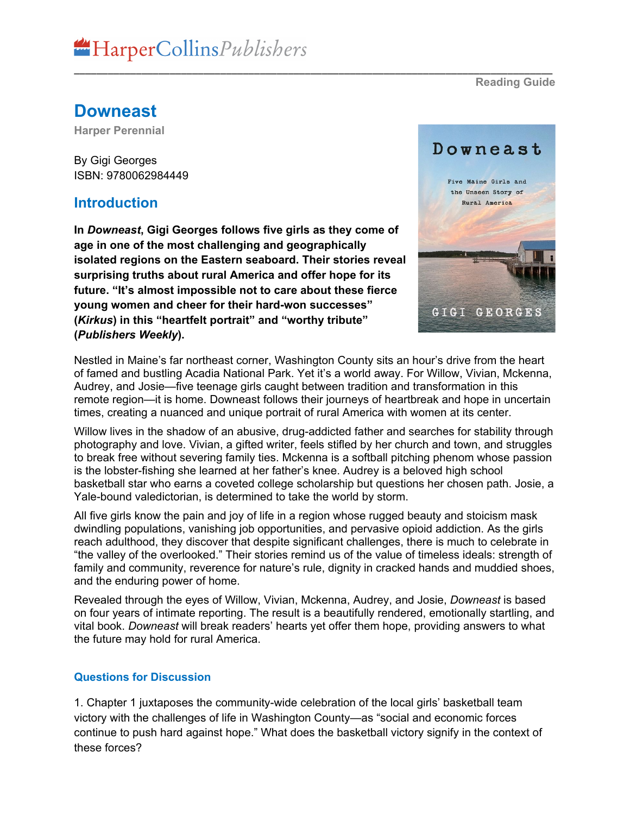**Downeast**

**Harper Perennial**

By Gigi Georges ISBN: 9780062984449

### **Introduction**

**In** *Downeast***, Gigi Georges follows five girls as they come of age in one of the most challenging and geographically isolated regions on the Eastern seaboard. Their stories reveal surprising truths about rural America and offer hope for its future. "It's almost impossible not to care about these fierce young women and cheer for their hard-won successes" (***Kirkus***) in this "heartfelt portrait" and "worthy tribute" (***Publishers Weekly***).**

Downeast Five Maine Girls and the Unseen Story of Rural America GIGI GEORGES

Nestled in Maine's far northeast corner, Washington County sits an hour's drive from the heart of famed and bustling Acadia National Park. Yet it's a world away. For Willow, Vivian, Mckenna, Audrey, and Josie—five teenage girls caught between tradition and transformation in this remote region—it is home. Downeast follows their journeys of heartbreak and hope in uncertain times, creating a nuanced and unique portrait of rural America with women at its center.

\_\_\_\_\_\_\_\_\_\_\_\_\_\_\_\_\_\_\_\_\_\_\_\_\_\_\_\_\_\_\_\_\_\_\_\_\_\_\_\_\_\_\_\_\_\_\_\_\_\_\_\_\_\_\_\_\_\_\_\_\_\_\_\_\_\_\_\_\_\_\_\_\_\_\_\_\_\_\_\_\_\_\_\_\_

Willow lives in the shadow of an abusive, drug-addicted father and searches for stability through photography and love. Vivian, a gifted writer, feels stifled by her church and town, and struggles to break free without severing family ties. Mckenna is a softball pitching phenom whose passion is the lobster-fishing she learned at her father's knee. Audrey is a beloved high school basketball star who earns a coveted college scholarship but questions her chosen path. Josie, a Yale-bound valedictorian, is determined to take the world by storm.

All five girls know the pain and joy of life in a region whose rugged beauty and stoicism mask dwindling populations, vanishing job opportunities, and pervasive opioid addiction. As the girls reach adulthood, they discover that despite significant challenges, there is much to celebrate in "the valley of the overlooked." Their stories remind us of the value of timeless ideals: strength of family and community, reverence for nature's rule, dignity in cracked hands and muddied shoes, and the enduring power of home.

Revealed through the eyes of Willow, Vivian, Mckenna, Audrey, and Josie, *Downeast* is based on four years of intimate reporting. The result is a beautifully rendered, emotionally startling, and vital book. *Downeast* will break readers' hearts yet offer them hope, providing answers to what the future may hold for rural America.

#### **Questions for Discussion**

1. Chapter 1 juxtaposes the community-wide celebration of the local girls' basketball team victory with the challenges of life in Washington County—as "social and economic forces continue to push hard against hope." What does the basketball victory signify in the context of these forces?

**Reading Guide**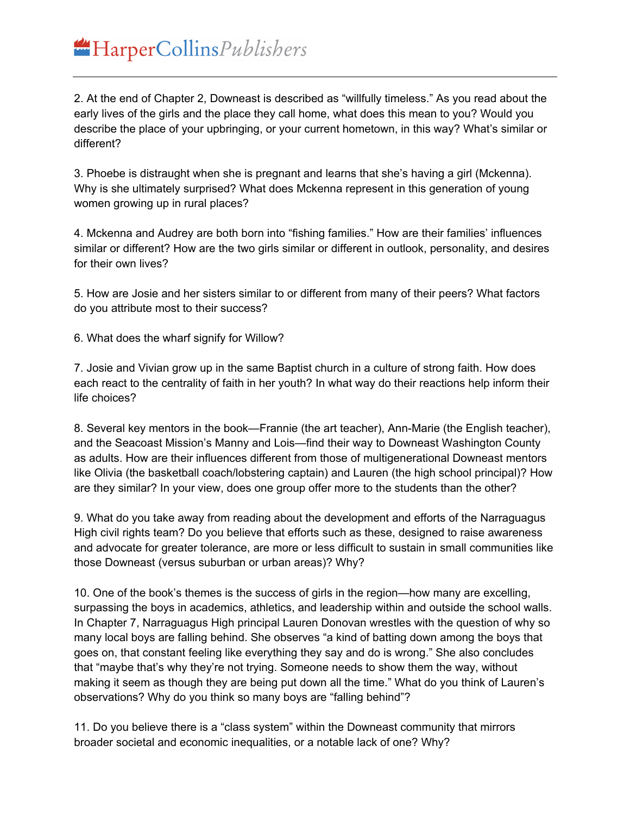2. At the end of Chapter 2, Downeast is described as "willfully timeless." As you read about the early lives of the girls and the place they call home, what does this mean to you? Would you describe the place of your upbringing, or your current hometown, in this way? What's similar or different?

3. Phoebe is distraught when she is pregnant and learns that she's having a girl (Mckenna). Why is she ultimately surprised? What does Mckenna represent in this generation of young women growing up in rural places?

4. Mckenna and Audrey are both born into "fishing families." How are their families' influences similar or different? How are the two girls similar or different in outlook, personality, and desires for their own lives?

5. How are Josie and her sisters similar to or different from many of their peers? What factors do you attribute most to their success?

6. What does the wharf signify for Willow?

7. Josie and Vivian grow up in the same Baptist church in a culture of strong faith. How does each react to the centrality of faith in her youth? In what way do their reactions help inform their life choices?

8. Several key mentors in the book—Frannie (the art teacher), Ann-Marie (the English teacher), and the Seacoast Mission's Manny and Lois—find their way to Downeast Washington County as adults. How are their influences different from those of multigenerational Downeast mentors like Olivia (the basketball coach/lobstering captain) and Lauren (the high school principal)? How are they similar? In your view, does one group offer more to the students than the other?

9. What do you take away from reading about the development and efforts of the Narraguagus High civil rights team? Do you believe that efforts such as these, designed to raise awareness and advocate for greater tolerance, are more or less difficult to sustain in small communities like those Downeast (versus suburban or urban areas)? Why?

10. One of the book's themes is the success of girls in the region—how many are excelling, surpassing the boys in academics, athletics, and leadership within and outside the school walls. In Chapter 7, Narraguagus High principal Lauren Donovan wrestles with the question of why so many local boys are falling behind. She observes "a kind of batting down among the boys that goes on, that constant feeling like everything they say and do is wrong." She also concludes that "maybe that's why they're not trying. Someone needs to show them the way, without making it seem as though they are being put down all the time." What do you think of Lauren's observations? Why do you think so many boys are "falling behind"?

11. Do you believe there is a "class system" within the Downeast community that mirrors broader societal and economic inequalities, or a notable lack of one? Why?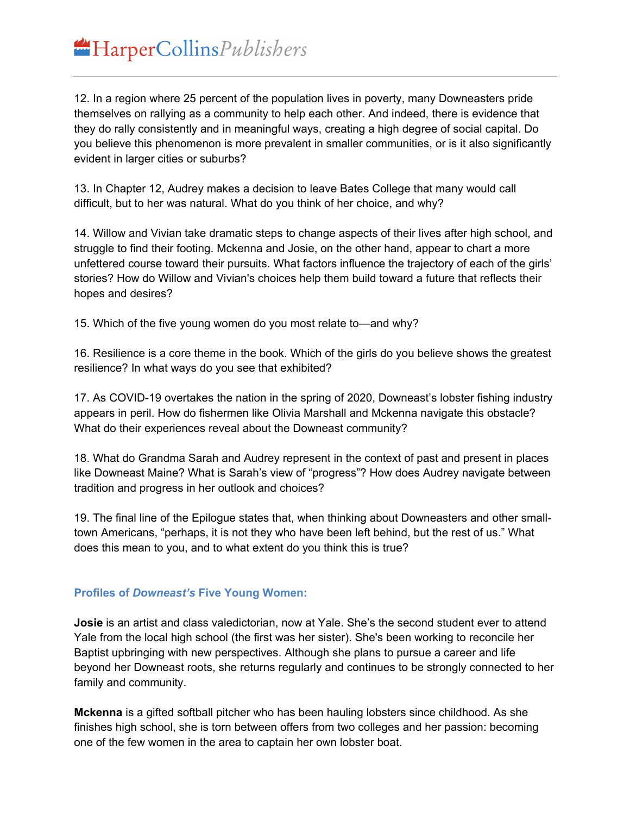12. In a region where 25 percent of the population lives in poverty, many Downeasters pride themselves on rallying as a community to help each other. And indeed, there is evidence that they do rally consistently and in meaningful ways, creating a high degree of social capital. Do you believe this phenomenon is more prevalent in smaller communities, or is it also significantly evident in larger cities or suburbs?

13. In Chapter 12, Audrey makes a decision to leave Bates College that many would call difficult, but to her was natural. What do you think of her choice, and why?

14. Willow and Vivian take dramatic steps to change aspects of their lives after high school, and struggle to find their footing. Mckenna and Josie, on the other hand, appear to chart a more unfettered course toward their pursuits. What factors influence the trajectory of each of the girls' stories? How do Willow and Vivian's choices help them build toward a future that reflects their hopes and desires?

15. Which of the five young women do you most relate to—and why?

16. Resilience is a core theme in the book. Which of the girls do you believe shows the greatest resilience? In what ways do you see that exhibited?

17. As COVID-19 overtakes the nation in the spring of 2020, Downeast's lobster fishing industry appears in peril. How do fishermen like Olivia Marshall and Mckenna navigate this obstacle? What do their experiences reveal about the Downeast community?

18. What do Grandma Sarah and Audrey represent in the context of past and present in places like Downeast Maine? What is Sarah's view of "progress"? How does Audrey navigate between tradition and progress in her outlook and choices?

19. The final line of the Epilogue states that, when thinking about Downeasters and other smalltown Americans, "perhaps, it is not they who have been left behind, but the rest of us." What does this mean to you, and to what extent do you think this is true?

#### **Profiles of** *Downeast's* **Five Young Women:**

**Josie** is an artist and class valedictorian, now at Yale. She's the second student ever to attend Yale from the local high school (the first was her sister). She's been working to reconcile her Baptist upbringing with new perspectives. Although she plans to pursue a career and life beyond her Downeast roots, she returns regularly and continues to be strongly connected to her family and community.

**Mckenna** is a gifted softball pitcher who has been hauling lobsters since childhood. As she finishes high school, she is torn between offers from two colleges and her passion: becoming one of the few women in the area to captain her own lobster boat.